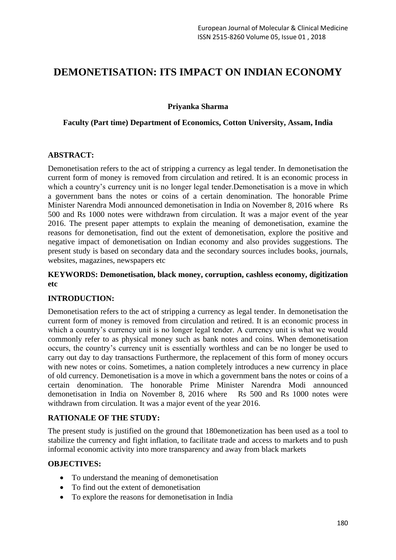# **DEMONETISATION: ITS IMPACT ON INDIAN ECONOMY**

**Priyanka Sharma**

## **Faculty (Part time) Department of Economics, Cotton University, Assam, India**

## **ABSTRACT:**

Demonetisation refers to the act of stripping a currency as legal tender. In demonetisation the current form of money is removed from circulation and retired. It is an economic process in which a country's currency unit is no longer legal tender. Demonetisation is a move in which a government bans the notes or coins of a certain denomination. The honorable Prime Minister Narendra Modi announced demonetisation in India on November 8, 2016 where Rs 500 and Rs 1000 notes were withdrawn from circulation. It was a major event of the year 2016. The present paper attempts to explain the meaning of demonetisation, examine the reasons for demonetisation, find out the extent of demonetisation, explore the positive and negative impact of demonetisation on Indian economy and also provides suggestions. The present study is based on secondary data and the secondary sources includes books, journals, websites, magazines, newspapers etc

## **KEYWORDS: Demonetisation, black money, corruption, cashless economy, digitization etc**

#### **INTRODUCTION:**

Demonetisation refers to the act of stripping a currency as legal tender. In demonetisation the current form of money is removed from circulation and retired. It is an economic process in which a country's currency unit is no longer legal tender. A currency unit is what we would commonly refer to as physical money such as bank notes and coins. When demonetisation occurs, the country's currency unit is essentially worthless and can be no longer be used to carry out day to day transactions Furthermore, the replacement of this form of money occurs with new notes or coins. Sometimes, a nation completely introduces a new currency in place of old currency. Demonetisation is a move in which a government bans the notes or coins of a certain denomination. The honorable Prime Minister Narendra Modi announced demonetisation in India on November 8, 2016 where Rs 500 and Rs 1000 notes were withdrawn from circulation. It was a major event of the year 2016.

# **RATIONALE OF THE STUDY:**

The present study is justified on the ground that 180emonetization has been used as a tool to stabilize the currency and fight inflation, to facilitate trade and access to markets and to push informal economic activity into more transparency and away from black markets

#### **OBJECTIVES:**

- To understand the meaning of demonetisation
- To find out the extent of demonetisation
- To explore the reasons for demonetisation in India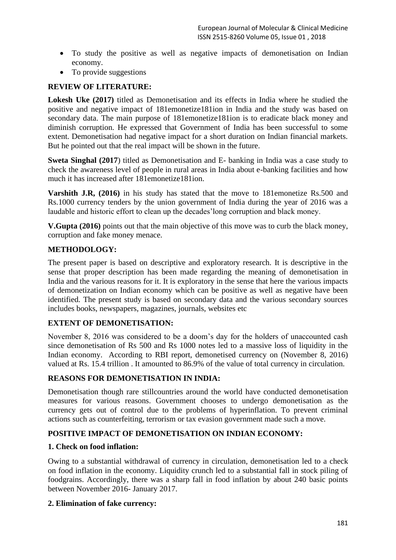- To study the positive as well as negative impacts of demonetisation on Indian economy.
- To provide suggestions

## **REVIEW OF LITERATURE:**

**Lokesh Uke (2017)** titled as Demonetisation and its effects in India where he studied the positive and negative impact of 181emonetize181ion in India and the study was based on secondary data. The main purpose of 181emonetize181ion is to eradicate black money and diminish corruption. He expressed that Government of India has been successful to some extent. Demonetisation had negative impact for a short duration on Indian financial markets. But he pointed out that the real impact will be shown in the future.

**Sweta Singhal (2017)** titled as Demonetisation and E- banking in India was a case study to check the awareness level of people in rural areas in India about e-banking facilities and how much it has increased after 181emonetize181ion.

**Varshith J.R, (2016)** in his study has stated that the move to 181emonetize Rs.500 and Rs.1000 currency tenders by the union government of India during the year of 2016 was a laudable and historic effort to clean up the decades'long corruption and black money.

**V.Gupta (2016)** points out that the main objective of this move was to curb the black money, corruption and fake money menace.

## **METHODOLOGY:**

The present paper is based on descriptive and exploratory research. It is descriptive in the sense that proper description has been made regarding the meaning of demonetisation in India and the various reasons for it. It is exploratory in the sense that here the various impacts of demonetization on Indian economy which can be positive as well as negative have been identified. The present study is based on secondary data and the various secondary sources includes books, newspapers, magazines, journals, websites etc

# **EXTENT OF DEMONETISATION:**

November 8, 2016 was considered to be a doom's day for the holders of unaccounted cash since demonetisation of Rs 500 and Rs 1000 notes led to a massive loss of liquidity in the Indian economy. According to RBI report, demonetised currency on (November 8, 2016) valued at Rs. 15.4 trillion . It amounted to 86.9% of the value of total currency in circulation.

#### **REASONS FOR DEMONETISATION IN INDIA:**

Demonetisation though rare stillcountries around the world have conducted demonetisation measures for various reasons. Government chooses to undergo demonetisation as the currency gets out of control due to the problems of hyperinflation. To prevent criminal actions such as counterfeiting, terrorism or tax evasion government made such a move.

#### **POSITIVE IMPACT OF DEMONETISATION ON INDIAN ECONOMY:**

#### **1. Check on food inflation:**

Owing to a substantial withdrawal of currency in circulation, demonetisation led to a check on food inflation in the economy. Liquidity crunch led to a substantial fall in stock piling of foodgrains. Accordingly, there was a sharp fall in food inflation by about 240 basic points between November 2016- January 2017.

#### **2. Elimination of fake currency:**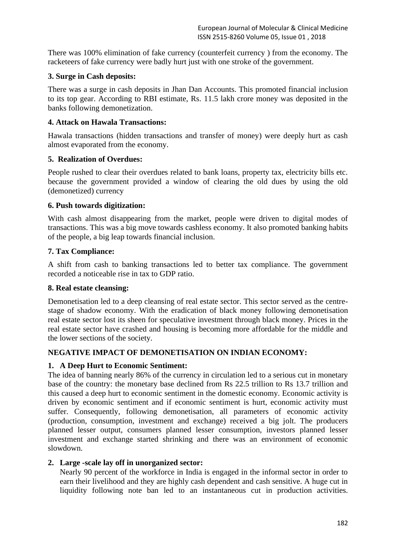There was 100% elimination of fake currency (counterfeit currency ) from the economy. The racketeers of fake currency were badly hurt just with one stroke of the government.

## **3. Surge in Cash deposits:**

There was a surge in cash deposits in Jhan Dan Accounts. This promoted financial inclusion to its top gear. According to RBI estimate, Rs. 11.5 lakh crore money was deposited in the banks following demonetization.

## **4. Attack on Hawala Transactions:**

Hawala transactions (hidden transactions and transfer of money) were deeply hurt as cash almost evaporated from the economy.

## **5. Realization of Overdues:**

People rushed to clear their overdues related to bank loans, property tax, electricity bills etc. because the government provided a window of clearing the old dues by using the old (demonetized) currency

## **6. Push towards digitization:**

With cash almost disappearing from the market, people were driven to digital modes of transactions. This was a big move towards cashless economy. It also promoted banking habits of the people, a big leap towards financial inclusion.

## **7. Tax Compliance:**

A shift from cash to banking transactions led to better tax compliance. The government recorded a noticeable rise in tax to GDP ratio.

#### **8. Real estate cleansing:**

Demonetisation led to a deep cleansing of real estate sector. This sector served as the centrestage of shadow economy. With the eradication of black money following demonetisation real estate sector lost its sheen for speculative investment through black money. Prices in the real estate sector have crashed and housing is becoming more affordable for the middle and the lower sections of the society.

# **NEGATIVE IMPACT OF DEMONETISATION ON INDIAN ECONOMY:**

#### **1. A Deep Hurt to Economic Sentiment:**

The idea of banning nearly 86% of the currency in circulation led to a serious cut in monetary base of the country: the monetary base declined from Rs 22.5 trillion to Rs 13.7 trillion and this caused a deep hurt to economic sentiment in the domestic economy. Economic activity is driven by economic sentiment and if economic sentiment is hurt, economic activity must suffer. Consequently, following demonetisation, all parameters of economic activity (production, consumption, investment and exchange) received a big jolt. The producers planned lesser output, consumers planned lesser consumption, investors planned lesser investment and exchange started shrinking and there was an environment of economic slowdown.

#### **2. Large -scale lay off in unorganized sector:**

Nearly 90 percent of the workforce in India is engaged in the informal sector in order to earn their livelihood and they are highly cash dependent and cash sensitive. A huge cut in liquidity following note ban led to an instantaneous cut in production activities.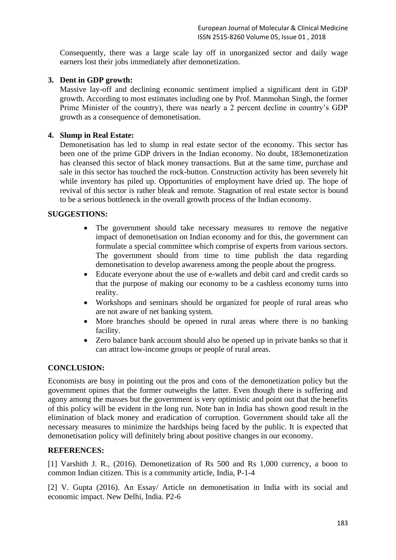Consequently, there was a large scale lay off in unorganized sector and daily wage earners lost their jobs immediately after demonetization.

# **3. Dent in GDP growth:**

Massive lay-off and declining economic sentiment implied a significant dent in GDP growth. According to most estimates including one by Prof. Manmohan Singh, the former Prime Minister of the country), there was nearly a 2 percent decline in country's GDP growth as a consequence of demonetisation.

## **4. Slump in Real Estate:**

Demonetisation has led to slump in real estate sector of the economy. This sector has been one of the prime GDP drivers in the Indian economy. No doubt, 183emonetization has cleansed this sector of black money transactions. But at the same time, purchase and sale in this sector has touched the rock-button. Construction activity has been severely hit while inventory has piled up. Opportunities of employment have dried up. The hope of revival of this sector is rather bleak and remote. Stagnation of real estate sector is bound to be a serious bottleneck in the overall growth process of the Indian economy.

## **SUGGESTIONS:**

- The government should take necessary measures to remove the negative impact of demonetisation on Indian economy and for this, the government can formulate a special committee which comprise of experts from various sectors. The government should from time to time publish the data regarding demonetisation to develop awareness among the people about the progress.
- Educate everyone about the use of e-wallets and debit card and credit cards so that the purpose of making our economy to be a cashless economy turns into reality.
- Workshops and seminars should be organized for people of rural areas who are not aware of net banking system.
- More branches should be opened in rural areas where there is no banking facility.
- Zero balance bank account should also be opened up in private banks so that it can attract low-income groups or people of rural areas.

#### **CONCLUSION:**

Economists are busy in pointing out the pros and cons of the demonetization policy but the government opines that the former outweighs the latter. Even though there is suffering and agony among the masses but the government is very optimistic and point out that the benefits of this policy will be evident in the long run. Note ban in India has shown good result in the elimination of black money and eradication of corruption. Government should take all the necessary measures to minimize the hardships being faced by the public. It is expected that demonetisation policy will definitely bring about positive changes in our economy.

#### **REFERENCES:**

[1] Varshith J. R., (2016). Demonetization of Rs 500 and Rs 1,000 currency, a boon to common Indian citizen. This is a community article, India, P-1-4

[2] V. Gupta (2016). An Essay/ Article on demonetisation in India with its social and economic impact. New Delhi, India. P2-6